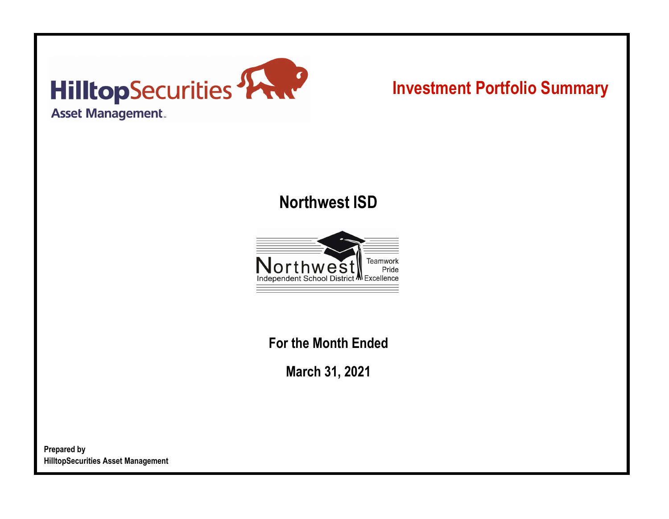

# **Investment Portfolio Summary**

## **Northwest ISD**



**For the Month Ended**

**March 31, 2021**

**Prepared by HilltopSecurities Asset Management**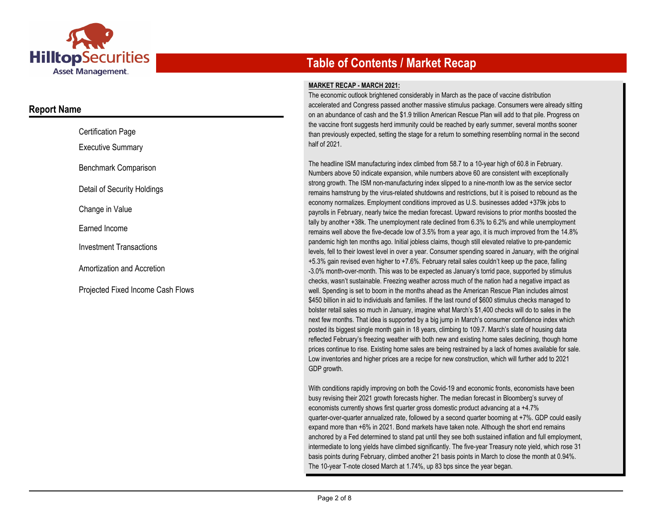

### **Report Name**

| <b>Certification Page</b>      |
|--------------------------------|
| <b>Executive Summary</b>       |
| Benchmark Comparison           |
| Detail of Security Holdings    |
| Change in Value                |
| Farned Income                  |
| <b>Investment Transactions</b> |
| Amortization and Accretion     |
|                                |

Projected Fixed Income Cash Flows

## **Table of Contents / Market Recap**

#### **MARKET RECAP - MARCH 2021:**

The economic outlook brightened considerably in March as the pace of vaccine distribution accelerated and Congress passed another massive stimulus package. Consumers were already sitting on an abundance of cash and the \$1.9 trillion American Rescue Plan will add to that pile. Progress on the vaccine front suggests herd immunity could be reached by early summer, several months sooner than previously expected, setting the stage for a return to something resembling normal in the second half of 2021.

The headline ISM manufacturing index climbed from 58.7 to a 10-year high of 60.8 in February. Numbers above 50 indicate expansion, while numbers above 60 are consistent with exceptionally strong growth. The ISM non-manufacturing index slipped to a nine-month low as the service sector remains hamstrung by the virus-related shutdowns and restrictions, but it is poised to rebound as the economy normalizes. Employment conditions improved as U.S. businesses added +379k jobs to payrolls in February, nearly twice the median forecast. Upward revisions to prior months boosted the tally by another +38k. The unemployment rate declined from 6.3% to 6.2% and while unemployment remains well above the five-decade low of 3.5% from a year ago, it is much improved from the 14.8% pandemic high ten months ago. Initial jobless claims, though still elevated relative to pre-pandemic levels, fell to their lowest level in over a year. Consumer spending soared in January, with the original +5.3% gain revised even higher to +7.6%. February retail sales couldn't keep up the pace, falling -3.0% month-over-month. This was to be expected as January's torrid pace, supported by stimulus checks, wasn't sustainable. Freezing weather across much of the nation had a negative impact as well. Spending is set to boom in the months ahead as the American Rescue Plan includes almost \$450 billion in aid to individuals and families. If the last round of \$600 stimulus checks managed to bolster retail sales so much in January, imagine what March's \$1,400 checks will do to sales in the next few months. That idea is supported by a big jump in March's consumer confidence index which posted its biggest single month gain in 18 years, climbing to 109.7. March's slate of housing data reflected February's freezing weather with both new and existing home sales declining, though home prices continue to rise. Existing home sales are being restrained by a lack of homes available for sale. Low inventories and higher prices are a recipe for new construction, which will further add to 2021 GDP growth.

With conditions rapidly improving on both the Covid-19 and economic fronts, economists have been busy revising their 2021 growth forecasts higher. The median forecast in Bloomberg's survey of economists currently shows first quarter gross domestic product advancing at a +4.7% quarter-over-quarter annualized rate, followed by a second quarter booming at +7%. GDP could easily expand more than +6% in 2021. Bond markets have taken note. Although the short end remains anchored by a Fed determined to stand pat until they see both sustained inflation and full employment, intermediate to long yields have climbed significantly. The five-year Treasury note yield, which rose 31 basis points during February, climbed another 21 basis points in March to close the month at 0.94%. The 10-year T-note closed March at 1.74%, up 83 bps since the year began.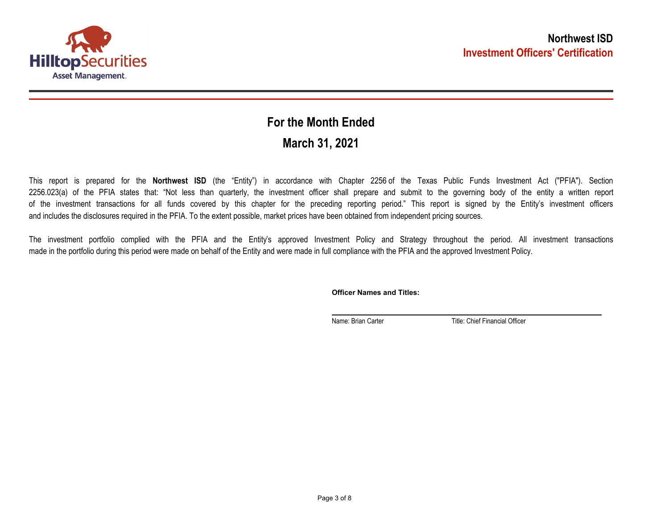

## **March 31, 2021 For the Month Ended**

This report is prepared for the **Northwest ISD** (the "Entity") in accordance with Chapter 2256 of the Texas Public Funds Investment Act ("PFIA"). Section 2256.023(a) of the PFIA states that: "Not less than quarterly, the investment officer shall prepare and submit to the governing body of the entity a written report of the investment transactions for all funds covered by this chapter for the preceding reporting period." This report is signed by the Entity's investment officers and includes the disclosures required in the PFIA. To the extent possible, market prices have been obtained from independent pricing sources.

The investment portfolio complied with the PFIA and the Entity's approved Investment Policy and Strategy throughout the period. All investment transactions made in the portfolio during this period were made on behalf of the Entity and were made in full compliance with the PFIA and the approved Investment Policy.

**Officer Names and Titles:**

Name: Brian Carter Title: Chief Financial Officer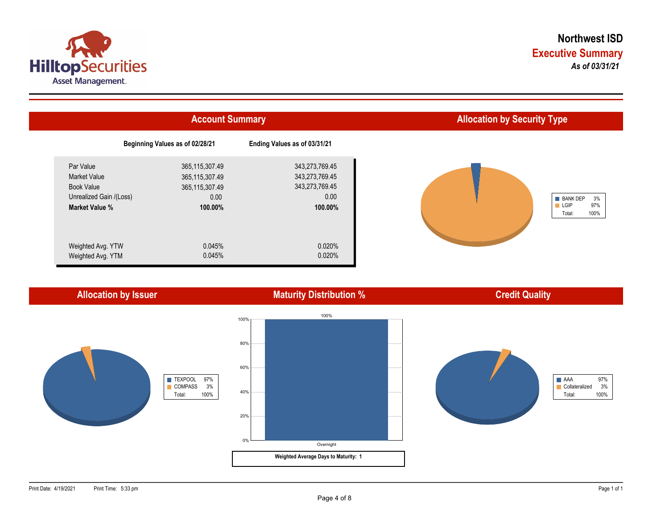



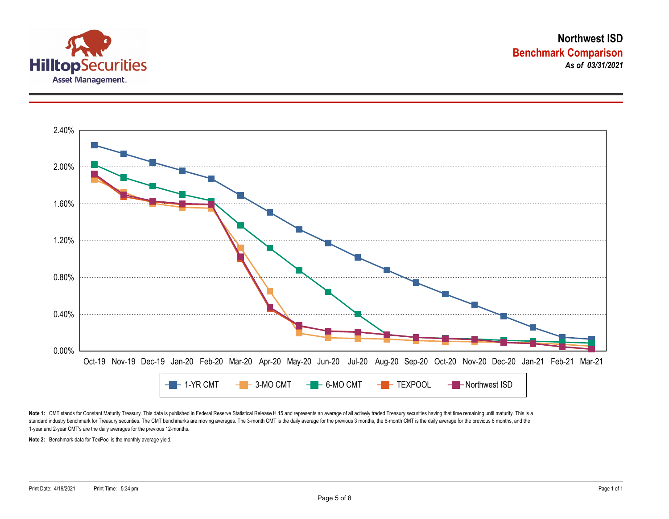



Note 1: CMT stands for Constant Maturity Treasury. This data is published in Federal Reserve Statistical Release H.15 and represents an average of all actively traded Treasury securities having that time remaining until ma standard industry benchmark for Treasury securities. The CMT benchmarks are moving averages. The 3-month CMT is the daily average for the previous 3 months, the 6-month CMT is the daily average for the previous 6 months, a 1-year and 2-year CMT's are the daily averages for the previous 12-months.

**Note 2:** Benchmark data for TexPool is the monthly average yield.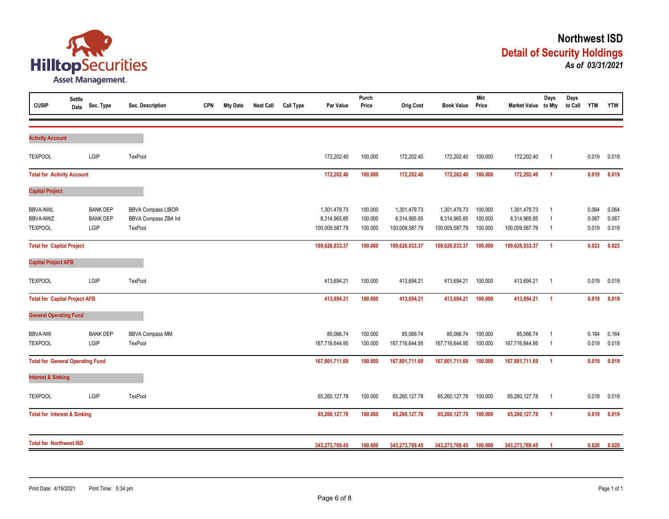

| <b>CUSIP</b>                                         | <b>Settle</b><br>Date | Sec. Type                                  | Sec. Description                                             | <b>CPN</b> | <b>Mty Date</b> | <b>Next Call</b> | <b>Call Type</b> | Par Value                                      | Purch<br>Price                | <b>Orig Cost</b>                               | <b>Book Value</b>                              | <b>Mkt</b><br>Price           | Market Value to Mty                            | Days                                               | Days<br>to Call | <b>YTM</b>              | <b>YTW</b>              |
|------------------------------------------------------|-----------------------|--------------------------------------------|--------------------------------------------------------------|------------|-----------------|------------------|------------------|------------------------------------------------|-------------------------------|------------------------------------------------|------------------------------------------------|-------------------------------|------------------------------------------------|----------------------------------------------------|-----------------|-------------------------|-------------------------|
| <b>Activity Account</b>                              |                       |                                            |                                                              |            |                 |                  |                  |                                                |                               |                                                |                                                |                               |                                                |                                                    |                 |                         |                         |
| <b>TEXPOOL</b>                                       |                       | LGIP                                       | TexPool                                                      |            |                 |                  |                  | 172,202.40                                     | 100.000                       | 172,202.40                                     | 172,202.40                                     | 100.000                       | 172,202.40                                     | $\overline{1}$                                     |                 | 0.019                   | 0.019                   |
| <b>Total for Activity Account</b>                    |                       |                                            |                                                              |            |                 | 172,202.40       | 100.000          | 172,202.40                                     | 172,202.40                    | 100.000                                        | 172,202.40                                     | $\overline{1}$                |                                                | 0.019                                              | 0.019           |                         |                         |
| <b>Capital Project</b>                               |                       |                                            |                                                              |            |                 |                  |                  |                                                |                               |                                                |                                                |                               |                                                |                                                    |                 |                         |                         |
| <b>BBVA-NWL</b><br><b>BBVA-NWZ</b><br><b>TEXPOOL</b> |                       | <b>BANK DEP</b><br><b>BANK DEP</b><br>LGIP | <b>BBVA Compass LIBOR</b><br>BBVA Compass ZBA Int<br>TexPool |            |                 |                  |                  | 1,301,479.73<br>8,314,965.85<br>100,009,587.79 | 100.000<br>100.000<br>100.000 | 1,301,479.73<br>8,314,965.85<br>100,009,587.79 | 1,301,479.73<br>8,314,965.85<br>100,009,587.79 | 100.000<br>100.000<br>100.000 | 1,301,479.73<br>8,314,965.85<br>100,009,587.79 | $\overline{1}$<br>$\overline{1}$<br>$\overline{1}$ |                 | 0.064<br>0.067<br>0.019 | 0.064<br>0.067<br>0.019 |
| <b>Total for Capital Project</b>                     |                       |                                            |                                                              |            |                 |                  |                  | 109,626,033.37                                 | 100.000                       | 109,626,033.37                                 | 109,626,033.37                                 | 100.000                       | 109,626,033.37                                 | $\overline{1}$                                     |                 | 0.023                   | 0.023                   |
| <b>Capital Project AFB</b>                           |                       |                                            |                                                              |            |                 |                  |                  |                                                |                               |                                                |                                                |                               |                                                |                                                    |                 |                         |                         |
| <b>TEXPOOL</b>                                       |                       | LGIP                                       | <b>TexPool</b>                                               |            |                 |                  |                  | 413,694.21                                     | 100.000                       | 413,694.21                                     | 413,694.21                                     | 100.000                       | 413,694.21                                     | $\overline{\mathbf{1}}$                            |                 | 0.019                   | 0.019                   |
| <b>Total for Capital Project AFB</b>                 |                       |                                            |                                                              |            |                 |                  |                  | 413,694.21                                     | 100.000                       | 413,694.21                                     | 413,694.21                                     | 100.000                       | 413,694.21                                     | $\overline{1}$                                     |                 | 0.019                   | 0.019                   |
| <b>General Operating Fund</b>                        |                       |                                            |                                                              |            |                 |                  |                  |                                                |                               |                                                |                                                |                               |                                                |                                                    |                 |                         |                         |
| <b>BBVA-NW</b><br><b>TEXPOOL</b>                     |                       | <b>BANK DEP</b><br>LGIP                    | <b>BBVA Compass MM</b><br>TexPool                            |            |                 |                  |                  | 85,066.74<br>167,716,644.95                    | 100.000<br>100.000            | 85,066.74<br>167,716,644.95                    | 85,066.74<br>167,716,644.95                    | 100.000<br>100.000            | 85,066.74<br>167,716,644.95                    | $\overline{1}$<br>- 1                              |                 | 0.164<br>0.019          | 0.164<br>0.019          |
| <b>Total for General Operating Fund</b>              |                       |                                            |                                                              |            |                 |                  |                  | 167,801,711.69                                 | 100.000                       | 167,801,711.69                                 | 167,801,711.69                                 | 100.000                       | 167,801,711.69                                 | $\overline{1}$                                     |                 | 0.019                   | 0.019                   |
| <b>Interest &amp; Sinking</b>                        |                       |                                            |                                                              |            |                 |                  |                  |                                                |                               |                                                |                                                |                               |                                                |                                                    |                 |                         |                         |
| <b>TEXPOOL</b>                                       |                       | LGIP                                       | <b>TexPool</b>                                               |            |                 |                  |                  | 65,260,127.78                                  | 100.000                       | 65,260,127.78                                  | 65,260,127.78                                  | 100.000                       | 65,260,127.78                                  | $\overline{1}$                                     |                 | 0.019                   | 0.019                   |
| <b>Total for Interest &amp; Sinking</b>              |                       |                                            |                                                              |            |                 |                  |                  | 65,260,127.78                                  | 100.000                       | 65,260,127.78                                  | 65,260,127.78                                  | 100.000                       | 65,260,127.78                                  | $\overline{1}$                                     |                 | 0.019                   | 0.019                   |
| <b>Total for Northwest ISD</b>                       |                       |                                            |                                                              |            |                 | 343,273,769.45   | 100.000          | 343,273,769.45                                 | 343,273,769.45                | 100.000                                        | 343,273,769.45                                 |                               |                                                | 0.020                                              | 0.020           |                         |                         |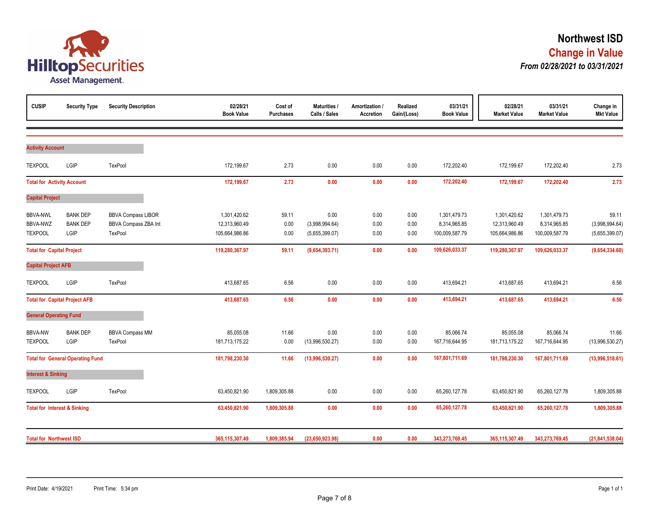

| <b>CUSIP</b>                                  | <b>Security Type</b>                       | <b>Security Description</b>                                         | 02/28/21<br><b>Book Value</b>                   | Cost of<br><b>Purchases</b> | <b>Maturities /</b><br>Calls / Sales     | Amortization /<br><b>Accretion</b> | Realized<br>Gain/(Loss) | 03/31/21<br><b>Book Value</b>                  | 02/28/21<br><b>Market Value</b>                 | 03/31/21<br><b>Market Value</b>                | Change in<br><b>Mkt Value</b>             |
|-----------------------------------------------|--------------------------------------------|---------------------------------------------------------------------|-------------------------------------------------|-----------------------------|------------------------------------------|------------------------------------|-------------------------|------------------------------------------------|-------------------------------------------------|------------------------------------------------|-------------------------------------------|
| <b>Activity Account</b>                       |                                            |                                                                     |                                                 |                             |                                          |                                    |                         |                                                |                                                 |                                                |                                           |
| <b>TEXPOOL</b>                                | LGIP                                       | TexPool                                                             | 172,199.67                                      | 2.73                        | 0.00                                     | 0.00                               | 0.00                    | 172,202.40                                     | 172,199.67                                      | 172,202.40                                     | 2.73                                      |
| <b>Total for Activity Account</b>             |                                            |                                                                     | 172,199.67                                      | 2.73                        | 0.00                                     | 0.00                               | 0.00                    | 172,202.40                                     | 172,199.67                                      | 172,202.40                                     | 2.73                                      |
| <b>Capital Project</b>                        |                                            |                                                                     |                                                 |                             |                                          |                                    |                         |                                                |                                                 |                                                |                                           |
| <b>BBVA-NWL</b><br>BBVA-NWZ<br><b>TEXPOOL</b> | <b>BANK DEP</b><br><b>BANK DEP</b><br>LGIP | <b>BBVA Compass LIBOR</b><br><b>BBVA Compass ZBA Int</b><br>TexPool | 1,301,420.62<br>12,313,960.49<br>105,664,986.86 | 59.11<br>0.00<br>0.00       | 0.00<br>(3,998,994.64)<br>(5,655,399.07) | 0.00<br>0.00<br>0.00               | 0.00<br>0.00<br>0.00    | 1,301,479.73<br>8,314,965.85<br>100,009,587.79 | 1,301,420.62<br>12,313,960.49<br>105,664,986.86 | 1,301,479.73<br>8,314,965.85<br>100,009,587.79 | 59.11<br>(3,998,994.64)<br>(5,655,399.07) |
| <b>Total for Capital Project</b>              |                                            |                                                                     | 119,280,367.97                                  | 59.11                       | (9,654,393.71)                           | 0.00                               | 0.00                    | 109,626,033.37                                 | 119,280,367.97                                  | 109,626,033.37                                 | (9,654,334.60)                            |
| <b>Capital Project AFB</b>                    |                                            |                                                                     |                                                 |                             |                                          |                                    |                         |                                                |                                                 |                                                |                                           |
| <b>TEXPOOL</b>                                | LGIP                                       | TexPool                                                             | 413,687.65                                      | 6.56                        | 0.00                                     | 0.00                               | 0.00                    | 413,694.21                                     | 413,687.65                                      | 413,694.21                                     | 6.56                                      |
|                                               | <b>Total for Capital Project AFB</b>       |                                                                     | 413,687.65                                      | 6.56                        | 0.00                                     | 0.00                               | 0.00                    | 413,694.21                                     | 413,687.65                                      | 413,694.21                                     | 6.56                                      |
| <b>General Operating Fund</b>                 |                                            |                                                                     |                                                 |                             |                                          |                                    |                         |                                                |                                                 |                                                |                                           |
| <b>BBVA-NW</b><br><b>TEXPOOL</b>              | <b>BANK DEP</b><br>LGIP                    | <b>BBVA Compass MM</b><br>TexPool                                   | 85,055.08<br>181,713,175.22                     | 11.66<br>0.00               | 0.00<br>(13,996,530.27)                  | 0.00<br>0.00                       | 0.00<br>0.00            | 85,066.74<br>167,716,644.95                    | 85,055.08<br>181,713,175.22                     | 85,066.74<br>167,716,644.95                    | 11.66<br>(13,996,530.27)                  |
|                                               | <b>Total for General Operating Fund</b>    |                                                                     | 181,798,230.30                                  | 11.66                       | (13,996,530.27)                          | 0.00                               | 0.00                    | 167,801,711.69                                 | 181,798,230.30                                  | 167,801,711.69                                 | (13,996,518.61)                           |
| <b>Interest &amp; Sinking</b>                 |                                            |                                                                     |                                                 |                             |                                          |                                    |                         |                                                |                                                 |                                                |                                           |
| <b>TEXPOOL</b>                                | LGIP                                       | TexPool                                                             | 63,450,821.90                                   | 1,809,305.88                | 0.00                                     | 0.00                               | 0.00                    | 65,260,127.78                                  | 63,450,821.90                                   | 65,260,127.78                                  | 1,809,305.88                              |
| <b>Total for Interest &amp; Sinking</b>       |                                            |                                                                     | 63,450,821.90                                   | 1,809,305.88                | 0.00                                     | 0.00                               | 0.00                    | 65,260,127.78                                  | 63,450,821.90                                   | 65,260,127.78                                  | 1,809,305.88                              |
| <b>Total for Northwest ISD</b>                |                                            |                                                                     | 365,115,307.49                                  | 1,809,385.94                | (23,650,923.98)                          | 0.00                               | 0.00                    | 343,273,769.45                                 | 365,115,307.49                                  | 343,273,769.45                                 | (21, 841, 538.04)                         |